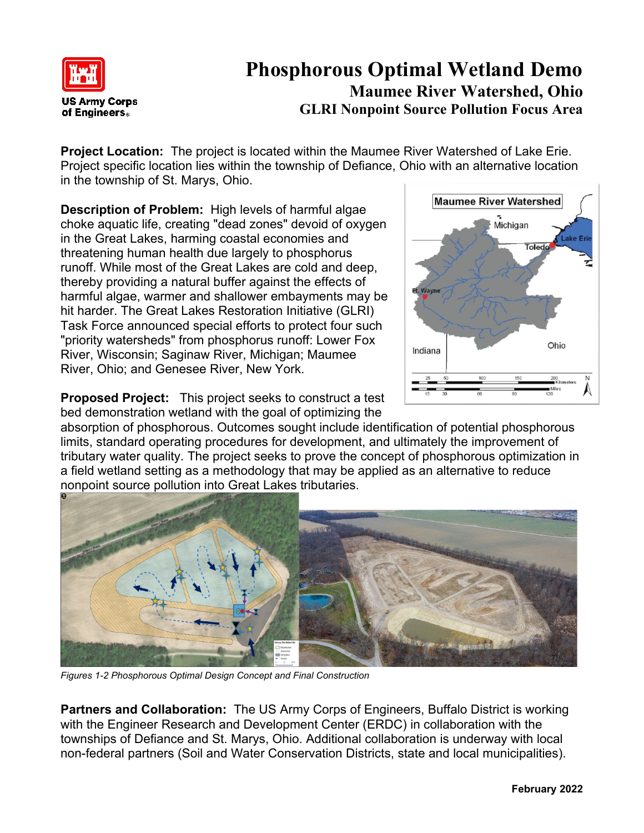

## **Phosphorous Optimal Wetland Demo Maumee River Watershed, Ohio GLRI Nonpoint Source Pollution Focus Area**

**Project Location:** The project is located within the Maumee River Watershed of Lake Erie. Project specific location lies within the township of Defiance, Ohio with an alternative location in the township of St. Marys, Ohio.

**Description of Problem:** High levels of harmful algae choke aquatic life, creating "dead zones" devoid of oxygen in the Great Lakes, harming coastal economies and threatening human health due largely to phosphorus runoff. While most of the Great Lakes are cold and deep, thereby providing a natural buffer against the effects of harmful algae, warmer and shallower embayments may be hit harder. The Great Lakes Restoration Initiative (GLRI) Task Force announced special efforts to protect four such "priority watersheds" from phosphorus runoff: Lower Fox River, Wisconsin; Saginaw River, Michigan; Maumee River, Ohio; and Genesee River, New York.



**Proposed Project:** This project seeks to construct a test bed demonstration wetland with the goal of optimizing the

absorption of phosphorous. Outcomes sought include identification of potential phosphorous limits, standard operating procedures for development, and ultimately the improvement of tributary water quality. The project seeks to prove the concept of phosphorous optimization in a field wetland setting as a methodology that may be applied as an alternative to reduce nonpoint source pollution into Great Lakes tributaries.



*Figures 1-2 Phosphorous Optimal Design Concept and Final Construction*

**Partners and Collaboration:** The US Army Corps of Engineers, Buffalo District is working with the Engineer Research and Development Center (ERDC) in collaboration with the townships of Defiance and St. Marys, Ohio. Additional collaboration is underway with local non-federal partners (Soil and Water Conservation Districts, state and local municipalities).